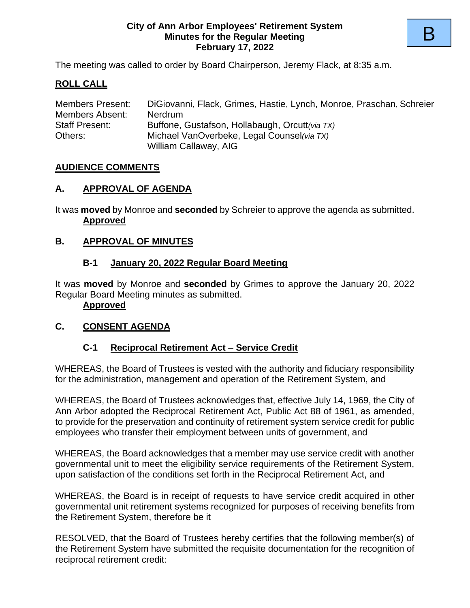#### **City of Ann Arbor Employees' Retirement System Minutes for the Regular Meeting February 17, 2022**

The meeting was called to order by Board Chairperson, Jeremy Flack, at 8:35 a.m.

## **ROLL CALL**

| <b>Members Present:</b> | DiGiovanni, Flack, Grimes, Hastie, Lynch, Monroe, Praschan, Schreier |
|-------------------------|----------------------------------------------------------------------|
| Members Absent:         | <b>Nerdrum</b>                                                       |
| <b>Staff Present:</b>   | Buffone, Gustafson, Hollabaugh, Orcutt(via TX)                       |
| Others:                 | Michael VanOverbeke, Legal Counsel (via TX)                          |
|                         | William Callaway, AIG                                                |

#### **AUDIENCE COMMENTS**

#### **A. APPROVAL OF AGENDA**

It was **moved** by Monroe and **seconded** by Schreier to approve the agenda as submitted. **Approved**

#### **B. APPROVAL OF MINUTES**

#### **B-1 January 20, 2022 Regular Board Meeting**

It was **moved** by Monroe and **seconded** by Grimes to approve the January 20, 2022 Regular Board Meeting minutes as submitted.

#### **Approved**

#### **C. CONSENT AGENDA**

#### **C-1 Reciprocal Retirement Act – Service Credit**

WHEREAS, the Board of Trustees is vested with the authority and fiduciary responsibility for the administration, management and operation of the Retirement System, and

WHEREAS, the Board of Trustees acknowledges that, effective July 14, 1969, the City of Ann Arbor adopted the Reciprocal Retirement Act, Public Act 88 of 1961, as amended, to provide for the preservation and continuity of retirement system service credit for public employees who transfer their employment between units of government, and

WHEREAS, the Board acknowledges that a member may use service credit with another governmental unit to meet the eligibility service requirements of the Retirement System, upon satisfaction of the conditions set forth in the Reciprocal Retirement Act, and

WHEREAS, the Board is in receipt of requests to have service credit acquired in other governmental unit retirement systems recognized for purposes of receiving benefits from the Retirement System, therefore be it

RESOLVED, that the Board of Trustees hereby certifies that the following member(s) of the Retirement System have submitted the requisite documentation for the recognition of reciprocal retirement credit: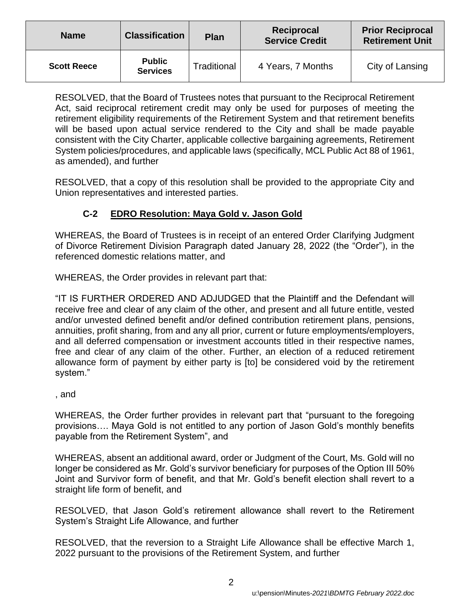| <b>Name</b>        | <b>Classification</b>            | <b>Plan</b> | Reciprocal<br><b>Service Credit</b> | <b>Prior Reciprocal</b><br><b>Retirement Unit</b> |
|--------------------|----------------------------------|-------------|-------------------------------------|---------------------------------------------------|
| <b>Scott Reece</b> | <b>Public</b><br><b>Services</b> | Traditional | 4 Years, 7 Months                   | City of Lansing                                   |

RESOLVED, that the Board of Trustees notes that pursuant to the Reciprocal Retirement Act, said reciprocal retirement credit may only be used for purposes of meeting the retirement eligibility requirements of the Retirement System and that retirement benefits will be based upon actual service rendered to the City and shall be made payable consistent with the City Charter, applicable collective bargaining agreements, Retirement System policies/procedures, and applicable laws (specifically, MCL Public Act 88 of 1961, as amended), and further

RESOLVED, that a copy of this resolution shall be provided to the appropriate City and Union representatives and interested parties.

# **C-2 EDRO Resolution: Maya Gold v. Jason Gold**

WHEREAS, the Board of Trustees is in receipt of an entered Order Clarifying Judgment of Divorce Retirement Division Paragraph dated January 28, 2022 (the "Order"), in the referenced domestic relations matter, and

WHEREAS, the Order provides in relevant part that:

"IT IS FURTHER ORDERED AND ADJUDGED that the Plaintiff and the Defendant will receive free and clear of any claim of the other, and present and all future entitle, vested and/or unvested defined benefit and/or defined contribution retirement plans, pensions, annuities, profit sharing, from and any all prior, current or future employments/employers, and all deferred compensation or investment accounts titled in their respective names, free and clear of any claim of the other. Further, an election of a reduced retirement allowance form of payment by either party is [to] be considered void by the retirement system."

, and

WHEREAS, the Order further provides in relevant part that "pursuant to the foregoing provisions…. Maya Gold is not entitled to any portion of Jason Gold's monthly benefits payable from the Retirement System", and

WHEREAS, absent an additional award, order or Judgment of the Court, Ms. Gold will no longer be considered as Mr. Gold's survivor beneficiary for purposes of the Option III 50% Joint and Survivor form of benefit, and that Mr. Gold's benefit election shall revert to a straight life form of benefit, and

RESOLVED, that Jason Gold's retirement allowance shall revert to the Retirement System's Straight Life Allowance, and further

RESOLVED, that the reversion to a Straight Life Allowance shall be effective March 1, 2022 pursuant to the provisions of the Retirement System, and further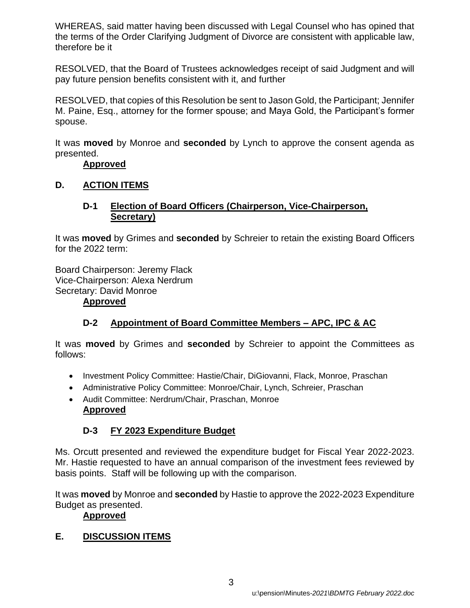WHEREAS, said matter having been discussed with Legal Counsel who has opined that the terms of the Order Clarifying Judgment of Divorce are consistent with applicable law, therefore be it

RESOLVED, that the Board of Trustees acknowledges receipt of said Judgment and will pay future pension benefits consistent with it, and further

RESOLVED, that copies of this Resolution be sent to Jason Gold, the Participant; Jennifer M. Paine, Esq., attorney for the former spouse; and Maya Gold, the Participant's former spouse.

It was **moved** by Monroe and **seconded** by Lynch to approve the consent agenda as presented.

#### **Approved**

## **D. ACTION ITEMS**

#### **D-1 Election of Board Officers (Chairperson, Vice-Chairperson, Secretary)**

It was **moved** by Grimes and **seconded** by Schreier to retain the existing Board Officers for the 2022 term:

Board Chairperson: Jeremy Flack Vice-Chairperson: Alexa Nerdrum Secretary: David Monroe **Approved**

# **D-2 Appointment of Board Committee Members – APC, IPC & AC**

It was **moved** by Grimes and **seconded** by Schreier to appoint the Committees as follows:

- Investment Policy Committee: Hastie/Chair, DiGiovanni, Flack, Monroe, Praschan
- Administrative Policy Committee: Monroe/Chair, Lynch, Schreier, Praschan
- Audit Committee: Nerdrum/Chair, Praschan, Monroe **Approved**

## **D-3 FY 2023 Expenditure Budget**

Ms. Orcutt presented and reviewed the expenditure budget for Fiscal Year 2022-2023. Mr. Hastie requested to have an annual comparison of the investment fees reviewed by basis points. Staff will be following up with the comparison.

It was **moved** by Monroe and **seconded** by Hastie to approve the 2022-2023 Expenditure Budget as presented.

#### **Approved**

## **E. DISCUSSION ITEMS**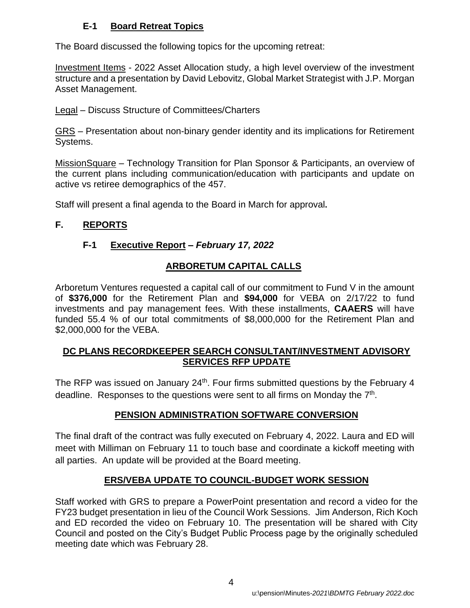# **E-1 Board Retreat Topics**

The Board discussed the following topics for the upcoming retreat:

Investment Items - 2022 Asset Allocation study, a high level overview of the investment structure and a presentation by David Lebovitz, Global Market Strategist with J.P. Morgan Asset Management.

Legal – Discuss Structure of Committees/Charters

GRS – Presentation about non-binary gender identity and its implications for Retirement Systems.

MissionSquare – Technology Transition for Plan Sponsor & Participants, an overview of the current plans including communication/education with participants and update on active vs retiree demographics of the 457.

Staff will present a final agenda to the Board in March for approval**.**

# **F. REPORTS**

# **F-1 Executive Report** *– February 17, 2022*

# **ARBORETUM CAPITAL CALLS**

Arboretum Ventures requested a capital call of our commitment to Fund V in the amount of **\$376,000** for the Retirement Plan and **\$94,000** for VEBA on 2/17/22 to fund investments and pay management fees. With these installments, **CAAERS** will have funded 55.4 % of our total commitments of \$8,000,000 for the Retirement Plan and \$2,000,000 for the VEBA.

# **DC PLANS RECORDKEEPER SEARCH CONSULTANT/INVESTMENT ADVISORY SERVICES RFP UPDATE**

The RFP was issued on January 24<sup>th</sup>. Four firms submitted questions by the February 4 deadline. Responses to the questions were sent to all firms on Monday the  $7<sup>th</sup>$ .

# **PENSION ADMINISTRATION SOFTWARE CONVERSION**

The final draft of the contract was fully executed on February 4, 2022. Laura and ED will meet with Milliman on February 11 to touch base and coordinate a kickoff meeting with all parties. An update will be provided at the Board meeting.

# **ERS/VEBA UPDATE TO COUNCIL-BUDGET WORK SESSION**

Staff worked with GRS to prepare a PowerPoint presentation and record a video for the FY23 budget presentation in lieu of the Council Work Sessions. Jim Anderson, Rich Koch and ED recorded the video on February 10. The presentation will be shared with City Council and posted on the City's Budget Public Process page by the originally scheduled meeting date which was February 28.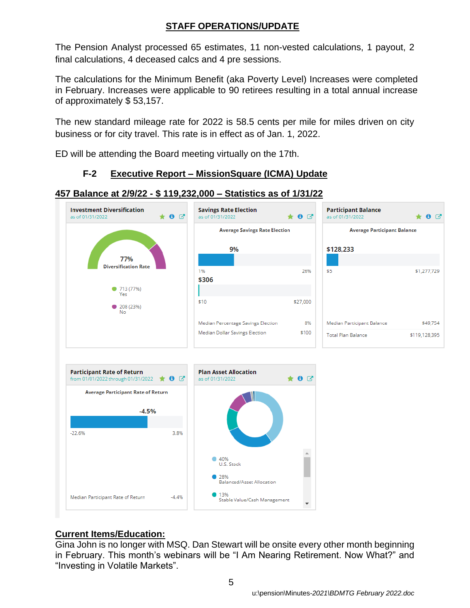## **STAFF OPERATIONS/UPDATE**

The Pension Analyst processed 65 estimates, 11 non-vested calculations, 1 payout, 2 final calculations, 4 deceased calcs and 4 pre sessions.

The calculations for the Minimum Benefit (aka Poverty Level) Increases were completed in February. Increases were applicable to 90 retirees resulting in a total annual increase of approximately \$ 53,157.

The new standard mileage rate for 2022 is 58.5 cents per mile for miles driven on city business or for city travel. This rate is in effect as of Jan. 1, 2022.

ED will be attending the Board meeting virtually on the 17th.

# **F-2 Executive Report – MissionSquare (ICMA) Update**







# **Current Items/Education:**

Gina John is no longer with MSQ. Dan Stewart will be onsite every other month beginning in February. This month's webinars will be "I Am Nearing Retirement. Now What?" and "Investing in Volatile Markets".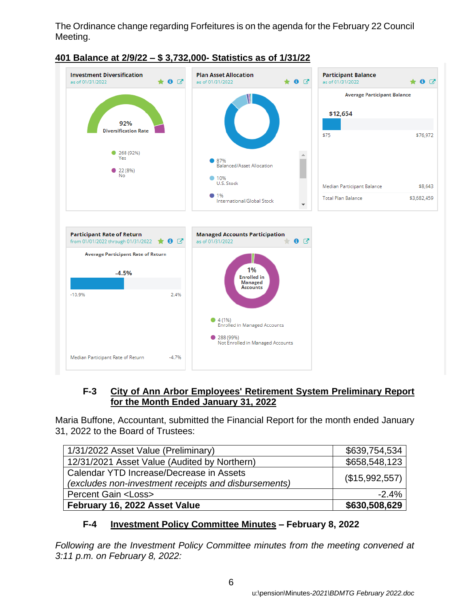The Ordinance change regarding Forfeitures is on the agenda for the February 22 Council Meeting.



# **401 Balance at 2/9/22 – \$ 3,732,000- Statistics as of 1/31/22**

## **F-3 City of Ann Arbor Employees' Retirement System Preliminary Report for the Month Ended January 31, 2022**

Maria Buffone, Accountant, submitted the Financial Report for the month ended January 31, 2022 to the Board of Trustees:

| 1/31/2022 Asset Value (Preliminary)                                                              | \$639,754,534  |
|--------------------------------------------------------------------------------------------------|----------------|
| 12/31/2021 Asset Value (Audited by Northern)                                                     | \$658,548,123  |
| Calendar YTD Increase/Decrease in Assets<br>(excludes non-investment receipts and disbursements) | (\$15,992,557) |
| <b>Percent Gain <loss></loss></b>                                                                | $-2.4%$        |
| February 16, 2022 Asset Value                                                                    | \$630,508,629  |

## **F-4 Investment Policy Committee Minutes – February 8, 2022**

*Following are the Investment Policy Committee minutes from the meeting convened at 3:11 p.m. on February 8, 2022:*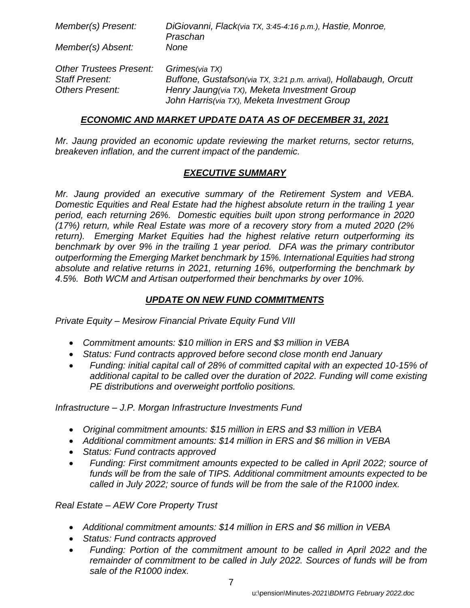| Member(s) Present:             | DiGiovanni, Flack(via TX, 3:45-4:16 p.m.), Hastie, Monroe,<br>Praschan |
|--------------------------------|------------------------------------------------------------------------|
| Member(s) Absent:              | None                                                                   |
| <b>Other Trustees Present:</b> | Grimes(via TX)                                                         |
| <b>Staff Present:</b>          | Buffone, Gustafson(via TX, 3:21 p.m. arrival), Hollabaugh, Orcutt      |
| <b>Others Present:</b>         | Henry Jaung(via TX), Meketa Investment Group                           |
|                                | John Harris(via TX), Meketa Investment Group                           |

#### *ECONOMIC AND MARKET UPDATE DATA AS OF DECEMBER 31, 2021*

*Mr. Jaung provided an economic update reviewing the market returns, sector returns, breakeven inflation, and the current impact of the pandemic.*

#### *EXECUTIVE SUMMARY*

*Mr. Jaung provided an executive summary of the Retirement System and VEBA. Domestic Equities and Real Estate had the highest absolute return in the trailing 1 year period, each returning 26%. Domestic equities built upon strong performance in 2020 (17%) return, while Real Estate was more of a recovery story from a muted 2020 (2% return). Emerging Market Equities had the highest relative return outperforming its benchmark by over 9% in the trailing 1 year period. DFA was the primary contributor outperforming the Emerging Market benchmark by 15%. International Equities had strong absolute and relative returns in 2021, returning 16%, outperforming the benchmark by 4.5%. Both WCM and Artisan outperformed their benchmarks by over 10%.*

#### *UPDATE ON NEW FUND COMMITMENTS*

*Private Equity – Mesirow Financial Private Equity Fund VIII*

- *Commitment amounts: \$10 million in ERS and \$3 million in VEBA*
- *Status: Fund contracts approved before second close month end January*
- *Funding: initial capital call of 28% of committed capital with an expected 10-15% of additional capital to be called over the duration of 2022. Funding will come existing PE distributions and overweight portfolio positions.*

*Infrastructure – J.P. Morgan Infrastructure Investments Fund*

- *Original commitment amounts: \$15 million in ERS and \$3 million in VEBA*
- *Additional commitment amounts: \$14 million in ERS and \$6 million in VEBA*
- *Status: Fund contracts approved*
- *Funding: First commitment amounts expected to be called in April 2022; source of funds will be from the sale of TIPS. Additional commitment amounts expected to be called in July 2022; source of funds will be from the sale of the R1000 index.*

*Real Estate – AEW Core Property Trust*

- *Additional commitment amounts: \$14 million in ERS and \$6 million in VEBA*
- *Status: Fund contracts approved*
- *Funding: Portion of the commitment amount to be called in April 2022 and the remainder of commitment to be called in July 2022. Sources of funds will be from sale of the R1000 index.*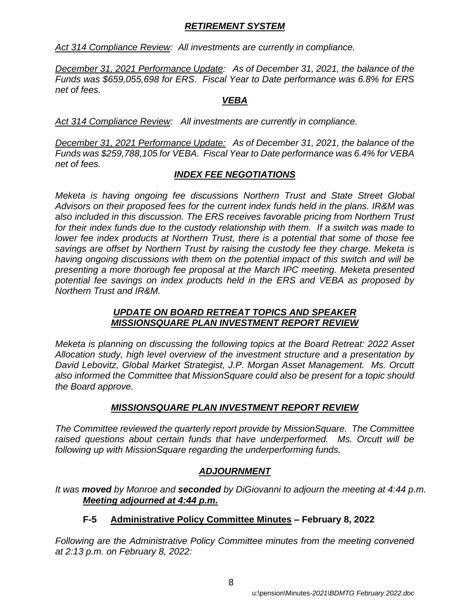#### *RETIREMENT SYSTEM*

*Act 314 Compliance Review: All investments are currently in compliance.*

*December 31, 2021 Performance Update: As of December 31, 2021, the balance of the Funds was \$659,055,698 for ERS. Fiscal Year to Date performance was 6.8% for ERS net of fees.* 

#### *VEBA*

*Act 314 Compliance Review: All investments are currently in compliance.*

*December 31, 2021 Performance Update: As of December 31, 2021, the balance of the Funds was \$259,788,105 for VEBA. Fiscal Year to Date performance was 6.4% for VEBA net of fees.* 

## *INDEX FEE NEGOTIATIONS*

*Meketa is having ongoing fee discussions Northern Trust and State Street Global Advisors on their proposed fees for the current index funds held in the plans. IR&M was also included in this discussion. The ERS receives favorable pricing from Northern Trust for their index funds due to the custody relationship with them. If a switch was made to lower fee index products at Northern Trust, there is a potential that some of those fee savings are offset by Northern Trust by raising the custody fee they charge. Meketa is having ongoing discussions with them on the potential impact of this switch and will be presenting a more thorough fee proposal at the March IPC meeting. Meketa presented potential fee savings on index products held in the ERS and VEBA as proposed by Northern Trust and IR&M.*

#### *UPDATE ON BOARD RETREAT TOPICS AND SPEAKER MISSIONSQUARE PLAN INVESTMENT REPORT REVIEW*

*Meketa is planning on discussing the following topics at the Board Retreat: 2022 Asset Allocation study, high level overview of the investment structure and a presentation by David Lebovitz, Global Market Strategist, J.P. Morgan Asset Management. Ms. Orcutt also informed the Committee that MissionSquare could also be present for a topic should the Board approve.*

## *MISSIONSQUARE PLAN INVESTMENT REPORT REVIEW*

*The Committee reviewed the quarterly report provide by MissionSquare. The Committee raised questions about certain funds that have underperformed. Ms. Orcutt will be following up with MissionSquare regarding the underperforming funds.*

## *ADJOURNMENT*

*It was moved by Monroe and seconded by DiGiovanni to adjourn the meeting at 4:44 p.m. Meeting adjourned at 4:44 p.m.*

## **F-5 Administrative Policy Committee Minutes – February 8, 2022**

*Following are the Administrative Policy Committee minutes from the meeting convened at 2:13 p.m. on February 8, 2022:*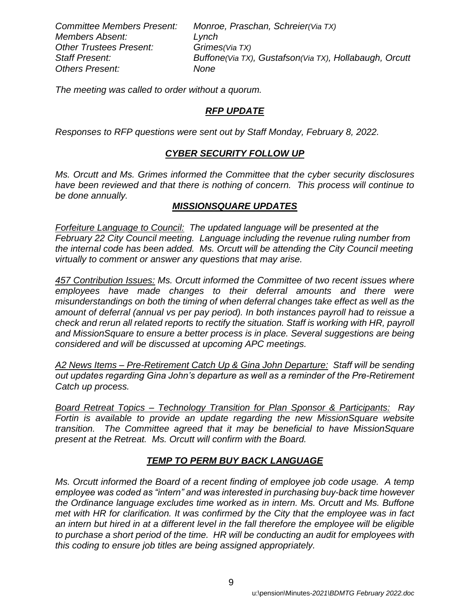*Members Absent: Lynch Other Trustees Present: Grimes(Via TX) Others Present: None*

*Committee Members Present: Monroe, Praschan, Schreier(Via TX) Staff Present: Buffone(Via TX), Gustafson(Via TX), Hollabaugh, Orcutt*

*The meeting was called to order without a quorum.* 

#### *RFP UPDATE*

*Responses to RFP questions were sent out by Staff Monday, February 8, 2022.*

#### *CYBER SECURITY FOLLOW UP*

*Ms. Orcutt and Ms. Grimes informed the Committee that the cyber security disclosures have been reviewed and that there is nothing of concern. This process will continue to be done annually.*

#### *MISSIONSQUARE UPDATES*

*Forfeiture Language to Council: The updated language will be presented at the February 22 City Council meeting. Language including the revenue ruling number from the internal code has been added. Ms. Orcutt will be attending the City Council meeting virtually to comment or answer any questions that may arise.*

*457 Contribution Issues: Ms. Orcutt informed the Committee of two recent issues where employees have made changes to their deferral amounts and there were misunderstandings on both the timing of when deferral changes take effect as well as the amount of deferral (annual vs per pay period). In both instances payroll had to reissue a check and rerun all related reports to rectify the situation. Staff is working with HR, payroll and MissionSquare to ensure a better process is in place. Several suggestions are being considered and will be discussed at upcoming APC meetings.* 

*A2 News Items – Pre-Retirement Catch Up & Gina John Departure: Staff will be sending out updates regarding Gina John's departure as well as a reminder of the Pre-Retirement Catch up process.*

*Board Retreat Topics – Technology Transition for Plan Sponsor & Participants: Ray Fortin is available to provide an update regarding the new MissionSquare website transition. The Committee agreed that it may be beneficial to have MissionSquare present at the Retreat. Ms. Orcutt will confirm with the Board.*

## *TEMP TO PERM BUY BACK LANGUAGE*

*Ms. Orcutt informed the Board of a recent finding of employee job code usage. A temp employee was coded as "intern" and was interested in purchasing buy-back time however the Ordinance language excludes time worked as in intern. Ms. Orcutt and Ms. Buffone met with HR for clarification. It was confirmed by the City that the employee was in fact an intern but hired in at a different level in the fall therefore the employee will be eligible to purchase a short period of the time. HR will be conducting an audit for employees with this coding to ensure job titles are being assigned appropriately.*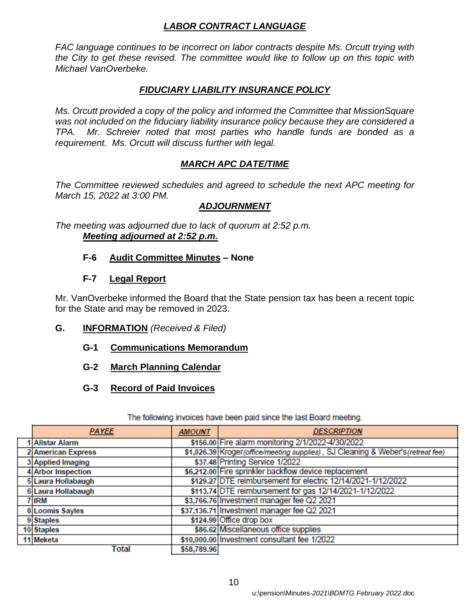## *LABOR CONTRACT LANGUAGE*

*FAC language continues to be incorrect on labor contracts despite Ms. Orcutt trying with the City to get these revised. The committee would like to follow up on this topic with Michael VanOverbeke.*

#### *FIDUCIARY LIABILITY INSURANCE POLICY*

*Ms. Orcutt provided a copy of the policy and informed the Committee that MissionSquare was not included on the fiduciary liability insurance policy because they are considered a TPA. Mr. Schreier noted that most parties who handle funds are bonded as a requirement. Ms. Orcutt will discuss further with legal.*

## *MARCH APC DATE/TIME*

*The Committee reviewed schedules and agreed to schedule the next APC meeting for March 15, 2022 at 3:00 PM.*

## *ADJOURNMENT*

*The meeting was adjourned due to lack of quorum at 2:52 p.m. Meeting adjourned at 2:52 p.m.*

#### **F-6 Audit Committee Minutes** *–* **None**

#### **F-7 Legal Report**

Mr. VanOverbeke informed the Board that the State pension tax has been a recent topic for the State and may be removed in 2023.

#### **G. INFORMATION** *(Received & Filed)*

- **G-1 Communications Memorandum**
- **G-2 March Planning Calendar**
- **G-3 Record of Paid Invoices**

| <b>PAYEE</b>       | <b>AMOUNT</b> | <b>DESCRIPTION</b>                                                             |
|--------------------|---------------|--------------------------------------------------------------------------------|
| 1 Allstar Alarm    |               | \$156.00 Fire alarm monitoring 2/1/2022-4/30/2022                              |
| 2 American Express |               | \$1,026.39 Kroger(office/meeting supplies), SJ Cleaning & Weber's(retreat fee) |
| 3 Applied Imaging  |               | \$37.48 Printing Service 1/2022                                                |
| 4 Arbor Inspection |               | \$6,212.00 Fire sprinkler backflow device replacement                          |
| 5 Laura Hollabaugh |               | \$129.27 DTE reimbursement for electric 12/14/2021-1/12/2022                   |
| 6 Laura Hollabaugh |               | \$113.74 DTE reimbursement for gas 12/14/2021-1/12/2022                        |
| 7 IRM              |               | \$3,766.76 Investment manager fee Q2 2021                                      |
| 8 Loomis Sayles    |               | \$37,136.71 Investment manager fee Q2 2021                                     |
| 9 Staples          |               | \$124.99 Office drop box                                                       |
| 10 Staples         |               | \$86.62 Miscellaneous office supplies                                          |
| 11 Meketa          |               | \$10,000.00 Investment consultant fee 1/2022                                   |
| Total              | \$58,789.96   |                                                                                |

#### The following invoices have been paid since the last Board meeting.